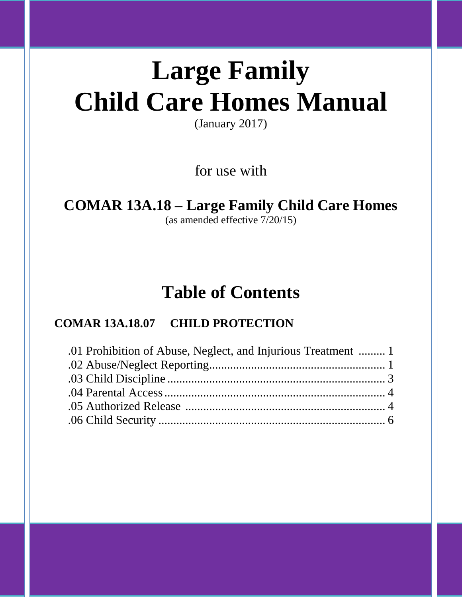# **Large Family Child Care Homes Manual**

(January 2017)

for use with

## **COMAR 13A.18 – Large Family Child Care Homes**

(as amended effective 7/20/15)

## **Table of Contents**

### **COMAR 13A.18.07 CHILD PROTECTION**

| .01 Prohibition of Abuse, Neglect, and Injurious Treatment  1 |  |
|---------------------------------------------------------------|--|
|                                                               |  |
|                                                               |  |
|                                                               |  |
|                                                               |  |
|                                                               |  |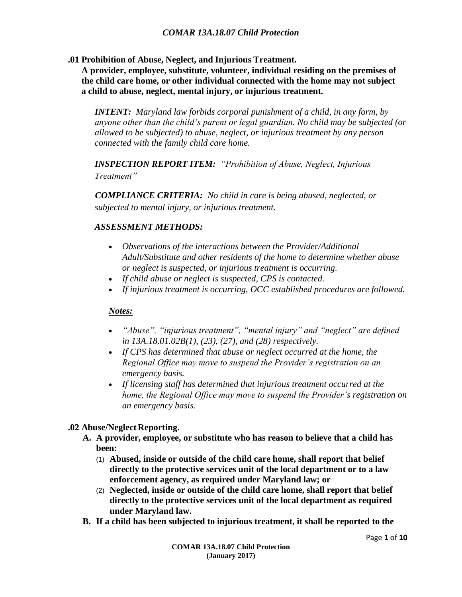**.01 Prohibition of Abuse, Neglect, and Injurious Treatment.**

**A provider, employee, substitute, volunteer, individual residing on the premises of the child care home, or other individual connected with the home may not subject a child to abuse, neglect, mental injury, or injurious treatment.**

*INTENT: Maryland law forbids corporal punishment of a child, in any form, by anyone other than the child's parent or legal guardian. No child may be subjected (or allowed to be subjected) to abuse, neglect, or injurious treatment by any person connected with the family child care home.*

*INSPECTION REPORT ITEM: "Prohibition of Abuse, Neglect, Injurious Treatment"*

*COMPLIANCE CRITERIA: No child in care is being abused, neglected, or subjected to mental injury, or injurious treatment.*

#### *ASSESSMENT METHODS:*

- *Observations of the interactions between the Provider/Additional Adult/Substitute and other residents of the home to determine whether abuse or neglect is suspected, or injurious treatment is occurring.*
- *If child abuse or neglect is suspected, CPS is contacted.*
- *If injurious treatment is occurring, OCC established procedures are followed.*

#### *Notes:*

- *"Abuse", "injurious treatment", "mental injury" and "neglect" are defined in 13A.18.01.02B(1), (23), (27), and (28) respectively.*
- *If CPS has determined that abuse or neglect occurred at the home, the Regional Office may move to suspend the Provider's registration on an emergency basis.*
- *If licensing staff has determined that injurious treatment occurred at the home, the Regional Office may move to suspend the Provider's registration on an emergency basis.*

#### **.02 Abuse/Neglect Reporting.**

- **A. A provider, employee, or substitute who has reason to believe that a child has been:**
	- (1) **Abused, inside or outside of the child care home, shall report that belief directly to the protective services unit of the local department or to a law enforcement agency, as required under Maryland law; or**
	- (2) **Neglected, inside or outside of the child care home, shall report that belief directly to the protective services unit of the local department as required under Maryland law.**
- **B. If a child has been subjected to injurious treatment, it shall be reported to the**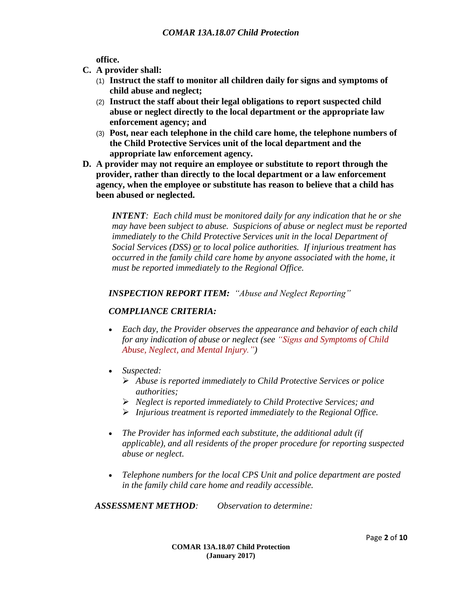**office.**

- **C. A provider shall:**
	- (1) **Instruct the staff to monitor all children daily for signs and symptoms of child abuse and neglect;**
	- (2) **Instruct the staff about their legal obligations to report suspected child abuse or neglect directly to the local department or the appropriate law enforcement agency; and**
	- (3) **Post, near each telephone in the child care home, the telephone numbers of the Child Protective Services unit of the local department and the appropriate law enforcement agency.**
- **D. A provider may not require an employee or substitute to report through the provider, rather than directly to the local department or a law enforcement agency, when the employee or substitute has reason to believe that a child has been abused or neglected.**

*INTENT: Each child must be monitored daily for any indication that he or she may have been subject to abuse. Suspicions of abuse or neglect must be reported immediately to the Child Protective Services unit in the local Department of Social Services (DSS) or to local police authorities. If injurious treatment has occurred in the family child care home by anyone associated with the home, it must be reported immediately to the Regional Office.*

*INSPECTION REPORT ITEM: "Abuse and Neglect Reporting"*

#### *COMPLIANCE CRITERIA:*

- *Each day, the Provider observes the appearance and behavior of each child for any indication of abuse or neglect (see "Signs and Symptoms of Child Abuse, Neglect, and Mental Injury.")*
- *Suspected:*
	- *Abuse is reported immediately to Child Protective Services or police authorities;*
	- *Neglect is reported immediately to Child Protective Services; and*
	- *Injurious treatment is reported immediately to the Regional Office.*
- *The Provider has informed each substitute, the additional adult (if applicable), and all residents of the proper procedure for reporting suspected abuse or neglect.*
- *Telephone numbers for the local CPS Unit and police department are posted in the family child care home and readily accessible.*

*ASSESSMENT METHOD: Observation to determine:*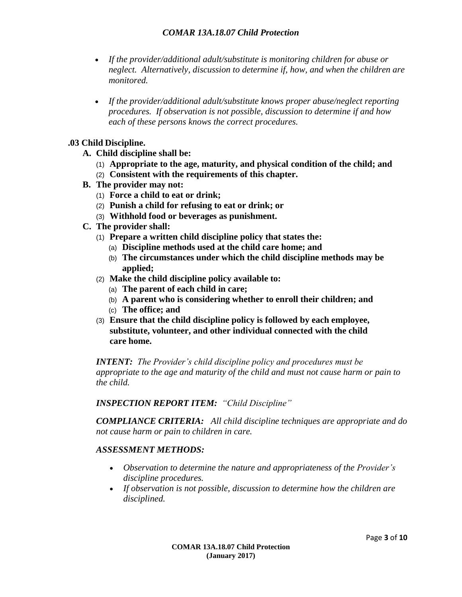- *If the provider/additional adult/substitute is monitoring children for abuse or neglect. Alternatively, discussion to determine if, how, and when the children are monitored.*
- *If the provider/additional adult/substitute knows proper abuse/neglect reporting procedures. If observation is not possible, discussion to determine if and how each of these persons knows the correct procedures.*

#### **.03 Child Discipline.**

- **A. Child discipline shall be:**
	- (1) **Appropriate to the age, maturity, and physical condition of the child; and**
	- (2) **Consistent with the requirements of this chapter.**
- **B. The provider may not:**
	- (1) **Force a child to eat or drink;**
	- (2) **Punish a child for refusing to eat or drink; or**
	- (3) **Withhold food or beverages as punishment.**
- **C. The provider shall:**
	- (1) **Prepare a written child discipline policy that states the:**
		- (a) **Discipline methods used at the child care home; and**
		- (b) **The circumstances under which the child discipline methods may be applied;**
	- (2) **Make the child discipline policy available to:**
		- (a) **The parent of each child in care;**
		- (b) **A parent who is considering whether to enroll their children; and**
		- (c) **The office; and**
	- (3) **Ensure that the child discipline policy is followed by each employee, substitute, volunteer, and other individual connected with the child care home.**

*INTENT: The Provider's child discipline policy and procedures must be appropriate to the age and maturity of the child and must not cause harm or pain to the child.*

#### *INSPECTION REPORT ITEM: "Child Discipline"*

*COMPLIANCE CRITERIA: All child discipline techniques are appropriate and do not cause harm or pain to children in care.*

#### *ASSESSMENT METHODS:*

- *Observation to determine the nature and appropriateness of the Provider's discipline procedures.*
- *If observation is not possible, discussion to determine how the children are disciplined.*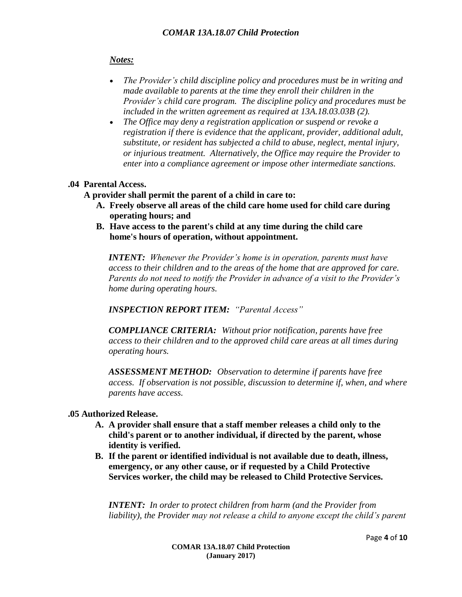#### *Notes:*

- *The Provider's child discipline policy and procedures must be in writing and made available to parents at the time they enroll their children in the Provider's child care program. The discipline policy and procedures must be included in the written agreement as required at 13A.18.03.03B (2).*
- *The Office may deny a registration application or suspend or revoke a registration if there is evidence that the applicant, provider, additional adult, substitute, or resident has subjected a child to abuse, neglect, mental injury, or injurious treatment. Alternatively, the Office may require the Provider to enter into a compliance agreement or impose other intermediate sanctions.*

#### **.04 Parental Access.**

**A provider shall permit the parent of a child in care to:**

- **A. Freely observe all areas of the child care home used for child care during operating hours; and**
- **B. Have access to the parent's child at any time during the child care home's hours of operation, without appointment.**

*INTENT: Whenever the Provider's home is in operation, parents must have access to their children and to the areas of the home that are approved for care. Parents do not need to notify the Provider in advance of a visit to the Provider's home during operating hours.*

*INSPECTION REPORT ITEM: "Parental Access"*

*COMPLIANCE CRITERIA: Without prior notification, parents have free access to their children and to the approved child care areas at all times during operating hours.*

*ASSESSMENT METHOD: Observation to determine if parents have free access. If observation is not possible, discussion to determine if, when, and where parents have access.* 

#### **.05 Authorized Release.**

- **A. A provider shall ensure that a staff member releases a child only to the child's parent or to another individual, if directed by the parent, whose identity is verified.**
- **B. If the parent or identified individual is not available due to death, illness, emergency, or any other cause, or if requested by a Child Protective Services worker, the child may be released to Child Protective Services.**

*INTENT: In order to protect children from harm (and the Provider from liability), the Provider may not release a child to anyone except the child's parent*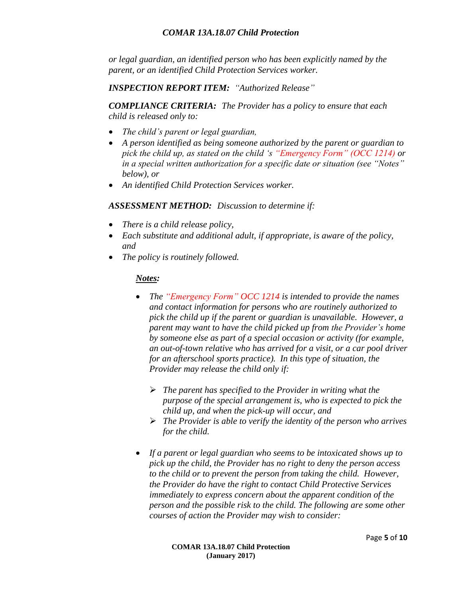*or legal guardian, an identified person who has been explicitly named by the parent, or an identified Child Protection Services worker.*

*INSPECTION REPORT ITEM: "Authorized Release"*

*COMPLIANCE CRITERIA: The Provider has a policy to ensure that each child is released only to:*

- *The child's parent or legal guardian,*
- *A person identified as being someone authorized by the parent or guardian to pick the child up, as stated on the child 's "Emergency Form" (OCC 1214) or in a special written authorization for a specific date or situation (see "Notes" below), or*
- *An identified Child Protection Services worker.*

#### *ASSESSMENT METHOD: Discussion to determine if:*

- *There is a child release policy,*
- *Each substitute and additional adult, if appropriate, is aware of the policy, and*
- *The policy is routinely followed.*

#### *Notes:*

- *The "Emergency Form" OCC 1214 is intended to provide the names and contact information for persons who are routinely authorized to pick the child up if the parent or guardian is unavailable. However, a parent may want to have the child picked up from the Provider's home by someone else as part of a special occasion or activity (for example, an out-of-town relative who has arrived for a visit, or a car pool driver for an afterschool sports practice). In this type of situation, the Provider may release the child only if:*
	- *The parent has specified to the Provider in writing what the purpose of the special arrangement is, who is expected to pick the child up, and when the pick-up will occur, and*
	- *The Provider is able to verify the identity of the person who arrives for the child.*
- *If a parent or legal guardian who seems to be intoxicated shows up to pick up the child, the Provider has no right to deny the person access to the child or to prevent the person from taking the child. However, the Provider do have the right to contact Child Protective Services immediately to express concern about the apparent condition of the person and the possible risk to the child. The following are some other courses of action the Provider may wish to consider:*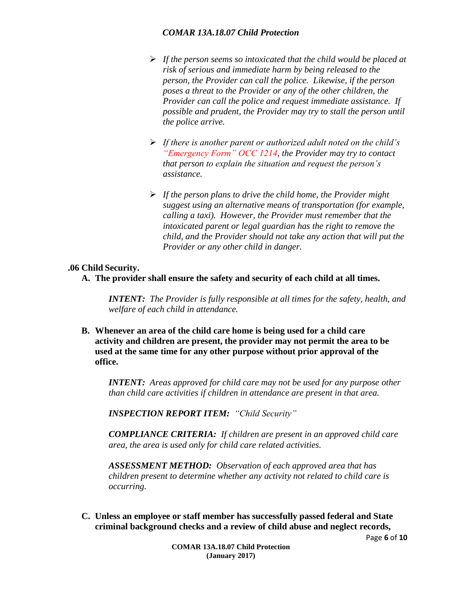- *If the person seems so intoxicated that the child would be placed at risk of serious and immediate harm by being released to the person, the Provider can call the police. Likewise, if the person poses a threat to the Provider or any of the other children, the Provider can call the police and request immediate assistance. If possible and prudent, the Provider may try to stall the person until the police arrive.*
- *If there is another parent or authorized adult noted on the child's "Emergency Form" OCC 1214, the Provider may try to contact that person to explain the situation and request the person's assistance.*
- *If the person plans to drive the child home, the Provider might suggest using an alternative means of transportation (for example, calling a taxi). However, the Provider must remember that the intoxicated parent or legal guardian has the right to remove the child, and the Provider should not take any action that will put the Provider or any other child in danger.*

#### **.06 Child Security.**

**A. The provider shall ensure the safety and security of each child at all times.**

*INTENT: The Provider is fully responsible at all times for the safety, health, and welfare of each child in attendance.*

**B. Whenever an area of the child care home is being used for a child care activity and children are present, the provider may not permit the area to be used at the same time for any other purpose without prior approval of the office.**

*INTENT: Areas approved for child care may not be used for any purpose other than child care activities if children in attendance are present in that area.*

*INSPECTION REPORT ITEM: "Child Security"*

*COMPLIANCE CRITERIA: If children are present in an approved child care area, the area is used only for child care related activities.*

*ASSESSMENT METHOD: Observation of each approved area that has children present to determine whether any activity not related to child care is occurring.*

**C. Unless an employee or staff member has successfully passed federal and State criminal background checks and a review of child abuse and neglect records,**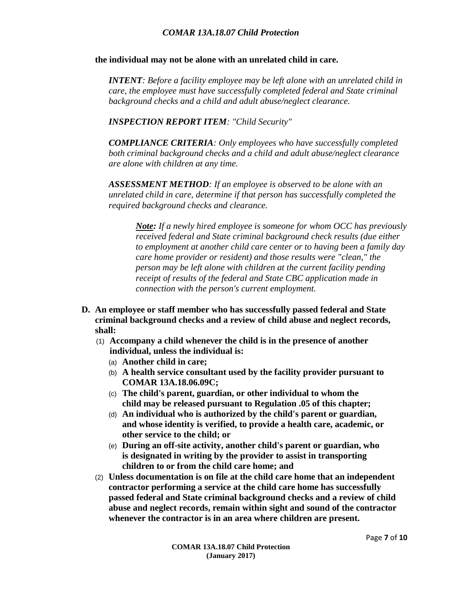#### **the individual may not be alone with an unrelated child in care.**

*INTENT: Before a facility employee may be left alone with an unrelated child in care, the employee must have successfully completed federal and State criminal background checks and a child and adult abuse/neglect clearance.*

*INSPECTION REPORT ITEM: "Child Security"*

*COMPLIANCE CRITERIA: Only employees who have successfully completed both criminal background checks and a child and adult abuse/neglect clearance are alone with children at any time.*

*ASSESSMENT METHOD: If an employee is observed to be alone with an unrelated child in care, determine if that person has successfully completed the required background checks and clearance.* 

*Note: If a newly hired employee is someone for whom OCC has previously received federal and State criminal background check results (due either to employment at another child care center or to having been a family day care home provider or resident) and those results were "clean," the person may be left alone with children at the current facility pending receipt of results of the federal and State CBC application made in connection with the person's current employment.* 

- **D. An employee or staff member who has successfully passed federal and State criminal background checks and a review of child abuse and neglect records, shall:**
	- (1) **Accompany a child whenever the child is in the presence of another individual, unless the individual is:**
		- (a) **Another child in care;**
		- (b) **A health service consultant used by the facility provider pursuant to COMAR 13A.18.06.09C;**
		- (c) **The child's parent, guardian, or other individual to whom the child may be released pursuant to Regulation .05 of this chapter;**
		- (d) **An individual who is authorized by the child's parent or guardian, and whose identity is verified, to provide a health care, academic, or other service to the child; or**
		- (e) **During an off-site activity, another child's parent or guardian, who is designated in writing by the provider to assist in transporting children to or from the child care home; and**
	- (2) **Unless documentation is on file at the child care home that an independent contractor performing a service at the child care home has successfully passed federal and State criminal background checks and a review of child abuse and neglect records, remain within sight and sound of the contractor whenever the contractor is in an area where children are present.**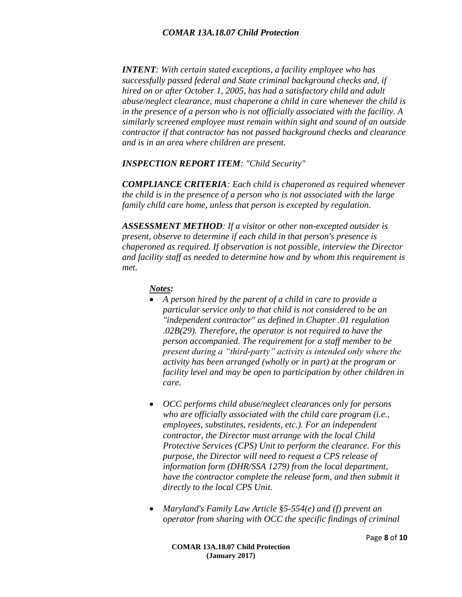*INTENT: With certain stated exceptions, a facility employee who has successfully passed federal and State criminal background checks and, if hired on or after October 1, 2005, has had a satisfactory child and adult abuse/neglect clearance, must chaperone a child in care whenever the child is in the presence of a person who is not officially associated with the facility. A similarly screened employee must remain within sight and sound of an outside contractor if that contractor has not passed background checks and clearance and is in an area where children are present.*

#### *INSPECTION REPORT ITEM: "Child Security"*

*COMPLIANCE CRITERIA: Each child is chaperoned as required whenever the child is in the presence of a person who is not associated with the large family child care home, unless that person is excepted by regulation.*

*ASSESSMENT METHOD: If a visitor or other non-excepted outsider is present, observe to determine if each child in that person's presence is chaperoned as required. If observation is not possible, interview the Director and facility staff as needed to determine how and by whom this requirement is met.*

#### *Notes:*

- *A person hired by the parent of a child in care to provide a particular service only to that child is not considered to be an "independent contractor" as defined in Chapter .01 regulation .02B(29). Therefore, the operator is not required to have the person accompanied. The requirement for a staff member to be present during a "third-party" activity is intended only where the activity has been arranged (wholly or in part) at the program or facility level and may be open to participation by other children in care.*
- *OCC performs child abuse/neglect clearances only for persons who are officially associated with the child care program (i.e., employees, substitutes, residents, etc.). For an independent contractor, the Director must arrange with the local Child Protective Services (CPS) Unit to perform the clearance. For this purpose, the Director will need to request a CPS release of information form (DHR/SSA 1279) from the local department, have the contractor complete the release form, and then submit it directly to the local CPS Unit.*
- *Maryland's Family Law Article §5-554(e) and (f) prevent an operator from sharing with OCC the specific findings of criminal*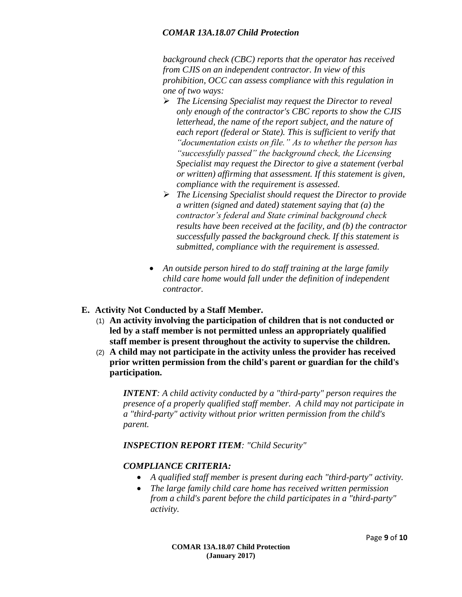*background check (CBC) reports that the operator has received from CJIS on an independent contractor. In view of this prohibition, OCC can assess compliance with this regulation in one of two ways:*

- *The Licensing Specialist may request the Director to reveal only enough of the contractor's CBC reports to show the CJIS letterhead, the name of the report subject, and the nature of each report (federal or State). This is sufficient to verify that "documentation exists on file." As to whether the person has "successfully passed" the background check, the Licensing Specialist may request the Director to give a statement (verbal or written) affirming that assessment. If this statement is given, compliance with the requirement is assessed.*
- *The Licensing Specialist should request the Director to provide a written (signed and dated) statement saying that (a) the contractor's federal and State criminal background check results have been received at the facility, and (b) the contractor successfully passed the background check. If this statement is submitted, compliance with the requirement is assessed.*
- *An outside person hired to do staff training at the large family child care home would fall under the definition of independent contractor.*
- **E. Activity Not Conducted by a Staff Member.**
	- (1) **An activity involving the participation of children that is not conducted or led by a staff member is not permitted unless an appropriately qualified staff member is present throughout the activity to supervise the children.**
	- (2) **A child may not participate in the activity unless the provider has received prior written permission from the child's parent or guardian for the child's participation.**

*INTENT: A child activity conducted by a "third-party" person requires the presence of a properly qualified staff member. A child may not participate in a "third-party" activity without prior written permission from the child's parent.*

*INSPECTION REPORT ITEM: "Child Security"*

#### *COMPLIANCE CRITERIA:*

- *A qualified staff member is present during each "third-party" activity.*
- *The large family child care home has received written permission from a child's parent before the child participates in a "third-party" activity.*